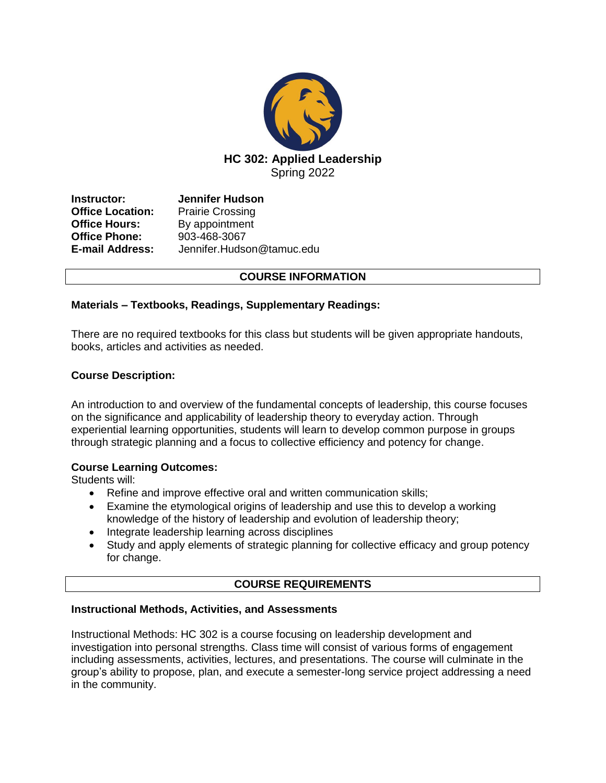

**Instructor: Jennifer Hudson Office Location:** Prairie Crossing<br> **Office Hours:** By appointment By appointment **Office Phone:** 903-468-3067 **E-mail Address:** Jennifer.Hudson@tamuc.edu

## **COURSE INFORMATION**

## **Materials – Textbooks, Readings, Supplementary Readings:**

There are no required textbooks for this class but students will be given appropriate handouts, books, articles and activities as needed.

### **Course Description:**

An introduction to and overview of the fundamental concepts of leadership, this course focuses on the significance and applicability of leadership theory to everyday action. Through experiential learning opportunities, students will learn to develop common purpose in groups through strategic planning and a focus to collective efficiency and potency for change.

#### **Course Learning Outcomes:**

Students will:

- Refine and improve effective oral and written communication skills;
- Examine the etymological origins of leadership and use this to develop a working knowledge of the history of leadership and evolution of leadership theory;
- Integrate leadership learning across disciplines
- Study and apply elements of strategic planning for collective efficacy and group potency for change.

# **COURSE REQUIREMENTS**

#### **Instructional Methods, Activities, and Assessments**

Instructional Methods: HC 302 is a course focusing on leadership development and investigation into personal strengths. Class time will consist of various forms of engagement including assessments, activities, lectures, and presentations. The course will culminate in the group's ability to propose, plan, and execute a semester-long service project addressing a need in the community.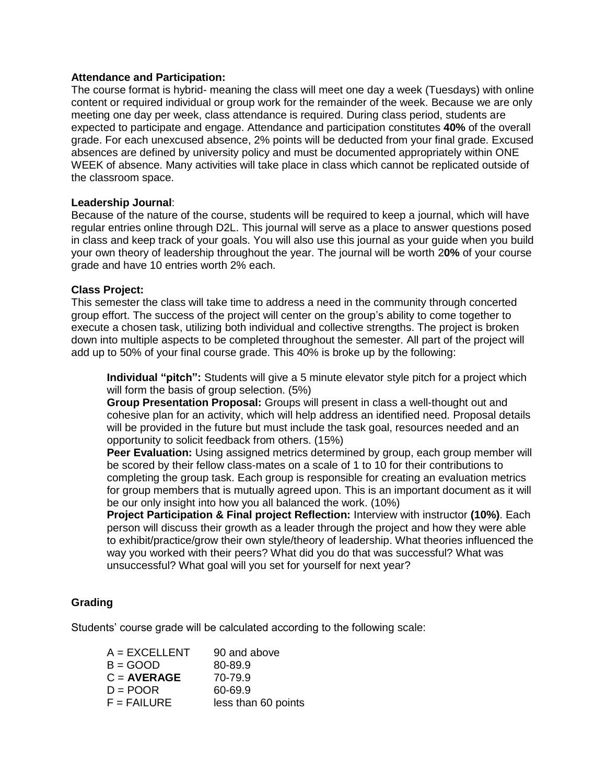#### **Attendance and Participation:**

The course format is hybrid- meaning the class will meet one day a week (Tuesdays) with online content or required individual or group work for the remainder of the week. Because we are only meeting one day per week, class attendance is required. During class period, students are expected to participate and engage. Attendance and participation constitutes **40%** of the overall grade. For each unexcused absence, 2% points will be deducted from your final grade. Excused absences are defined by university policy and must be documented appropriately within ONE WEEK of absence. Many activities will take place in class which cannot be replicated outside of the classroom space.

### **Leadership Journal**:

Because of the nature of the course, students will be required to keep a journal, which will have regular entries online through D2L. This journal will serve as a place to answer questions posed in class and keep track of your goals. You will also use this journal as your guide when you build your own theory of leadership throughout the year. The journal will be worth 2**0%** of your course grade and have 10 entries worth 2% each.

### **Class Project:**

This semester the class will take time to address a need in the community through concerted group effort. The success of the project will center on the group's ability to come together to execute a chosen task, utilizing both individual and collective strengths. The project is broken down into multiple aspects to be completed throughout the semester. All part of the project will add up to 50% of your final course grade. This 40% is broke up by the following:

**Individual "pitch":** Students will give a 5 minute elevator style pitch for a project which will form the basis of group selection. (5%)

**Group Presentation Proposal:** Groups will present in class a well-thought out and cohesive plan for an activity, which will help address an identified need. Proposal details will be provided in the future but must include the task goal, resources needed and an opportunity to solicit feedback from others. (15%)

**Peer Evaluation:** Using assigned metrics determined by group, each group member will be scored by their fellow class-mates on a scale of 1 to 10 for their contributions to completing the group task. Each group is responsible for creating an evaluation metrics for group members that is mutually agreed upon. This is an important document as it will be our only insight into how you all balanced the work. (10%)

**Project Participation & Final project Reflection:** Interview with instructor **(10%)**. Each person will discuss their growth as a leader through the project and how they were able to exhibit/practice/grow their own style/theory of leadership. What theories influenced the way you worked with their peers? What did you do that was successful? What was unsuccessful? What goal will you set for yourself for next year?

## **Grading**

Students' course grade will be calculated according to the following scale:

| 90 and above        |
|---------------------|
| 80-89.9             |
| 70-79.9             |
| 60-69.9             |
| less than 60 points |
|                     |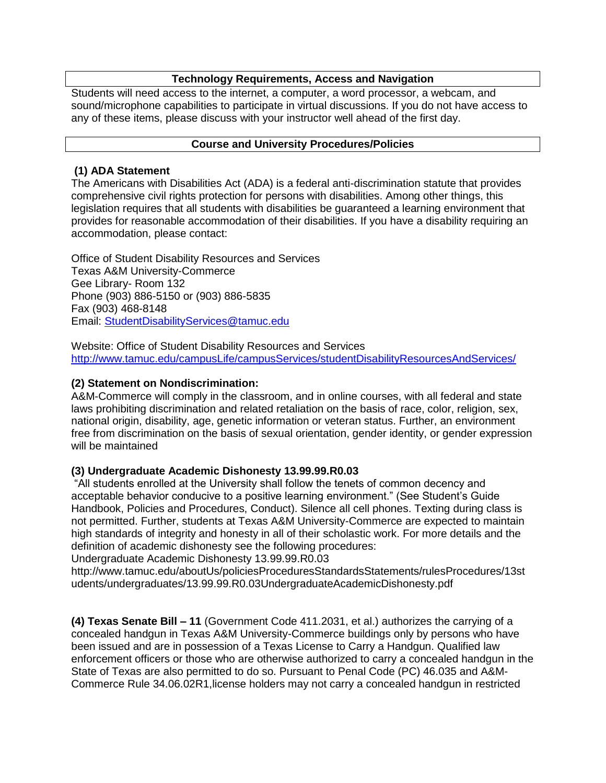# **Technology Requirements, Access and Navigation**

Students will need access to the internet, a computer, a word processor, a webcam, and sound/microphone capabilities to participate in virtual discussions. If you do not have access to any of these items, please discuss with your instructor well ahead of the first day.

# **Course and University Procedures/Policies**

## **(1) ADA Statement**

The Americans with Disabilities Act (ADA) is a federal anti-discrimination statute that provides comprehensive civil rights protection for persons with disabilities. Among other things, this legislation requires that all students with disabilities be guaranteed a learning environment that provides for reasonable accommodation of their disabilities. If you have a disability requiring an accommodation, please contact:

Office of Student Disability Resources and Services Texas A&M University-Commerce Gee Library- Room 132 Phone (903) 886-5150 or (903) 886-5835 Fax (903) 468-8148 Email: [StudentDisabilityServices@tamuc.edu](mailto:StudentDisabilityServices@tamuc.edu)

Website: Office of Student Disability Resources and Services <http://www.tamuc.edu/campusLife/campusServices/studentDisabilityResourcesAndServices/>

## **(2) Statement on Nondiscrimination:**

A&M-Commerce will comply in the classroom, and in online courses, with all federal and state laws prohibiting discrimination and related retaliation on the basis of race, color, religion, sex, national origin, disability, age, genetic information or veteran status. Further, an environment free from discrimination on the basis of sexual orientation, gender identity, or gender expression will be maintained

## **(3) Undergraduate Academic Dishonesty 13.99.99.R0.03**

"All students enrolled at the University shall follow the tenets of common decency and acceptable behavior conducive to a positive learning environment." (See Student's Guide Handbook, Policies and Procedures, Conduct). Silence all cell phones. Texting during class is not permitted. Further, students at Texas A&M University-Commerce are expected to maintain high standards of integrity and honesty in all of their scholastic work. For more details and the definition of academic dishonesty see the following procedures:

Undergraduate Academic Dishonesty 13.99.99.R0.03

http://www.tamuc.edu/aboutUs/policiesProceduresStandardsStatements/rulesProcedures/13st udents/undergraduates/13.99.99.R0.03UndergraduateAcademicDishonesty.pdf

**(4) Texas Senate Bill – 11** (Government Code 411.2031, et al.) authorizes the carrying of a concealed handgun in Texas A&M University-Commerce buildings only by persons who have been issued and are in possession of a Texas License to Carry a Handgun. Qualified law enforcement officers or those who are otherwise authorized to carry a concealed handgun in the State of Texas are also permitted to do so. Pursuant to Penal Code (PC) 46.035 and A&M-Commerce Rule 34.06.02R1,license holders may not carry a concealed handgun in restricted